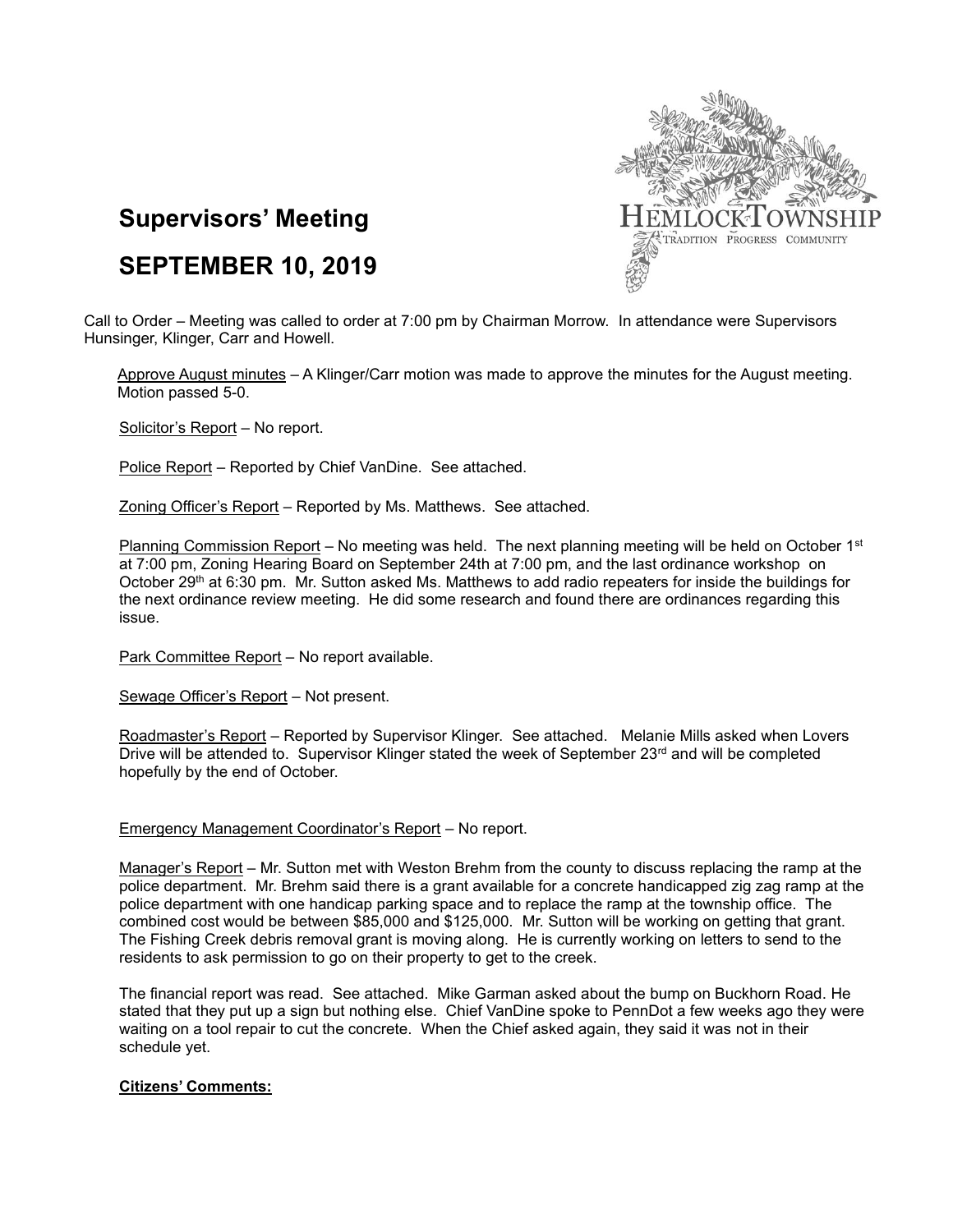

# **Supervisors' Meeting**

# **SEPTEMBER 10, 2019**

Call to Order – Meeting was called to order at 7:00 pm by Chairman Morrow. In attendance were Supervisors Hunsinger, Klinger, Carr and Howell.

Approve August minutes – A Klinger/Carr motion was made to approve the minutes for the August meeting. Motion passed 5-0.

Solicitor's Report - No report.

Police Report – Reported by Chief VanDine. See attached.

Zoning Officer's Report – Reported by Ms. Matthews. See attached.

Planning Commission Report – No meeting was held. The next planning meeting will be held on October 1<sup>st</sup> at 7:00 pm, Zoning Hearing Board on September 24th at 7:00 pm, and the last ordinance workshop on October 29<sup>th</sup> at 6:30 pm. Mr. Sutton asked Ms. Matthews to add radio repeaters for inside the buildings for the next ordinance review meeting. He did some research and found there are ordinances regarding this issue.

Park Committee Report - No report available.

Sewage Officer's Report – Not present.

Roadmaster's Report – Reported by Supervisor Klinger. See attached. Melanie Mills asked when Lovers Drive will be attended to. Supervisor Klinger stated the week of September 23<sup>rd</sup> and will be completed hopefully by the end of October.

### Emergency Management Coordinator's Report – No report.

Manager's Report – Mr. Sutton met with Weston Brehm from the county to discuss replacing the ramp at the police department. Mr. Brehm said there is a grant available for a concrete handicapped zig zag ramp at the police department with one handicap parking space and to replace the ramp at the township office. The combined cost would be between \$85,000 and \$125,000. Mr. Sutton will be working on getting that grant. The Fishing Creek debris removal grant is moving along. He is currently working on letters to send to the residents to ask permission to go on their property to get to the creek.

The financial report was read. See attached. Mike Garman asked about the bump on Buckhorn Road. He stated that they put up a sign but nothing else. Chief VanDine spoke to PennDot a few weeks ago they were waiting on a tool repair to cut the concrete. When the Chief asked again, they said it was not in their schedule yet.

### **Citizens' Comments:**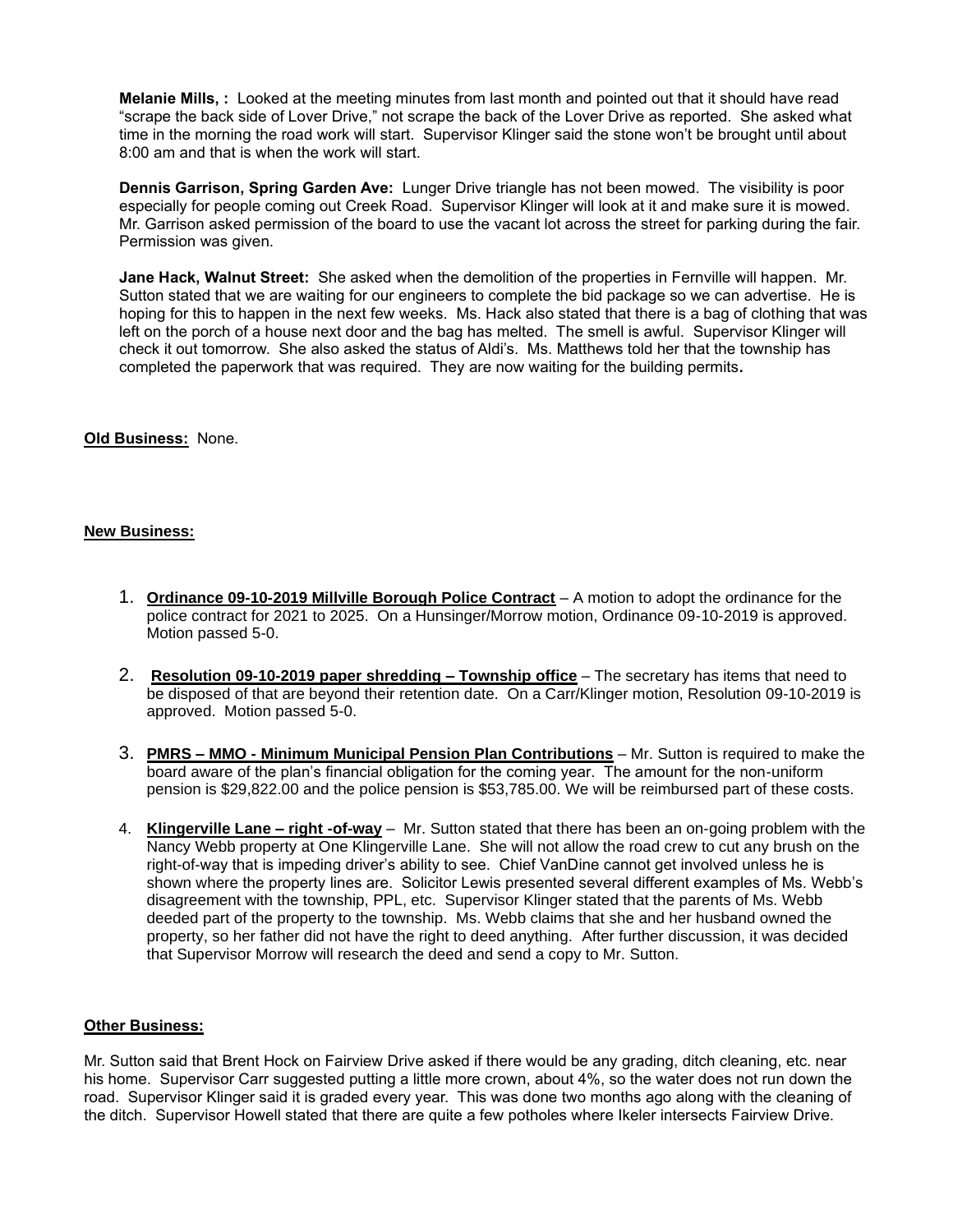**Melanie Mills, :** Looked at the meeting minutes from last month and pointed out that it should have read "scrape the back side of Lover Drive," not scrape the back of the Lover Drive as reported. She asked what time in the morning the road work will start. Supervisor Klinger said the stone won't be brought until about 8:00 am and that is when the work will start.

**Dennis Garrison, Spring Garden Ave:** Lunger Drive triangle has not been mowed. The visibility is poor especially for people coming out Creek Road. Supervisor Klinger will look at it and make sure it is mowed. Mr. Garrison asked permission of the board to use the vacant lot across the street for parking during the fair. Permission was given.

**Jane Hack, Walnut Street:** She asked when the demolition of the properties in Fernville will happen. Mr. Sutton stated that we are waiting for our engineers to complete the bid package so we can advertise. He is hoping for this to happen in the next few weeks. Ms. Hack also stated that there is a bag of clothing that was left on the porch of a house next door and the bag has melted. The smell is awful. Supervisor Klinger will check it out tomorrow. She also asked the status of Aldi's. Ms. Matthews told her that the township has completed the paperwork that was required. They are now waiting for the building permits**.**

### **Old Business:** None.

## **New Business:**

- 1. **Ordinance 09-10-2019 Millville Borough Police Contract** A motion to adopt the ordinance for the police contract for 2021 to 2025. On a Hunsinger/Morrow motion, Ordinance 09-10-2019 is approved. Motion passed 5-0.
- 2. **Resolution 09-10-2019 paper shredding – Township office** The secretary has items that need to be disposed of that are beyond their retention date. On a Carr/Klinger motion, Resolution 09-10-2019 is approved. Motion passed 5-0.
- 3. **PMRS – MMO - Minimum Municipal Pension Plan Contributions** Mr. Sutton is required to make the board aware of the plan's financial obligation for the coming year. The amount for the non-uniform pension is \$29,822.00 and the police pension is \$53,785.00. We will be reimbursed part of these costs.
- 4. **Klingerville Lane – right -of-way** Mr. Sutton stated that there has been an on-going problem with the Nancy Webb property at One Klingerville Lane. She will not allow the road crew to cut any brush on the right-of-way that is impeding driver's ability to see. Chief VanDine cannot get involved unless he is shown where the property lines are. Solicitor Lewis presented several different examples of Ms. Webb's disagreement with the township, PPL, etc. Supervisor Klinger stated that the parents of Ms. Webb deeded part of the property to the township. Ms. Webb claims that she and her husband owned the property, so her father did not have the right to deed anything. After further discussion, it was decided that Supervisor Morrow will research the deed and send a copy to Mr. Sutton.

### **Other Business:**

Mr. Sutton said that Brent Hock on Fairview Drive asked if there would be any grading, ditch cleaning, etc. near his home. Supervisor Carr suggested putting a little more crown, about 4%, so the water does not run down the road. Supervisor Klinger said it is graded every year. This was done two months ago along with the cleaning of the ditch. Supervisor Howell stated that there are quite a few potholes where Ikeler intersects Fairview Drive.